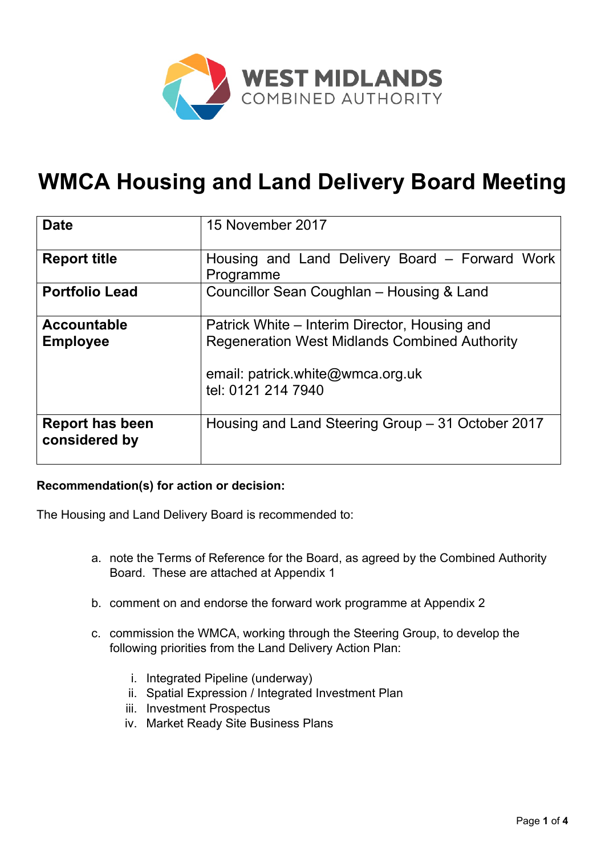

# **WMCA Housing and Land Delivery Board Meeting**

| <b>Date</b>                             | 15 November 2017                                                                                                                                                |
|-----------------------------------------|-----------------------------------------------------------------------------------------------------------------------------------------------------------------|
| <b>Report title</b>                     | Housing and Land Delivery Board – Forward Work<br>Programme                                                                                                     |
| <b>Portfolio Lead</b>                   | Councillor Sean Coughlan - Housing & Land                                                                                                                       |
| <b>Accountable</b><br><b>Employee</b>   | Patrick White – Interim Director, Housing and<br><b>Regeneration West Midlands Combined Authority</b><br>email: patrick.white@wmca.org.uk<br>tel: 0121 214 7940 |
| <b>Report has been</b><br>considered by | Housing and Land Steering Group – 31 October 2017                                                                                                               |

## **Recommendation(s) for action or decision:**

The Housing and Land Delivery Board is recommended to:

- a. note the Terms of Reference for the Board, as agreed by the Combined Authority Board. These are attached at Appendix 1
- b. comment on and endorse the forward work programme at Appendix 2
- c. commission the WMCA, working through the Steering Group, to develop the following priorities from the Land Delivery Action Plan:
	- i. Integrated Pipeline (underway)
	- ii. Spatial Expression / Integrated Investment Plan
	- iii. Investment Prospectus
	- iv. Market Ready Site Business Plans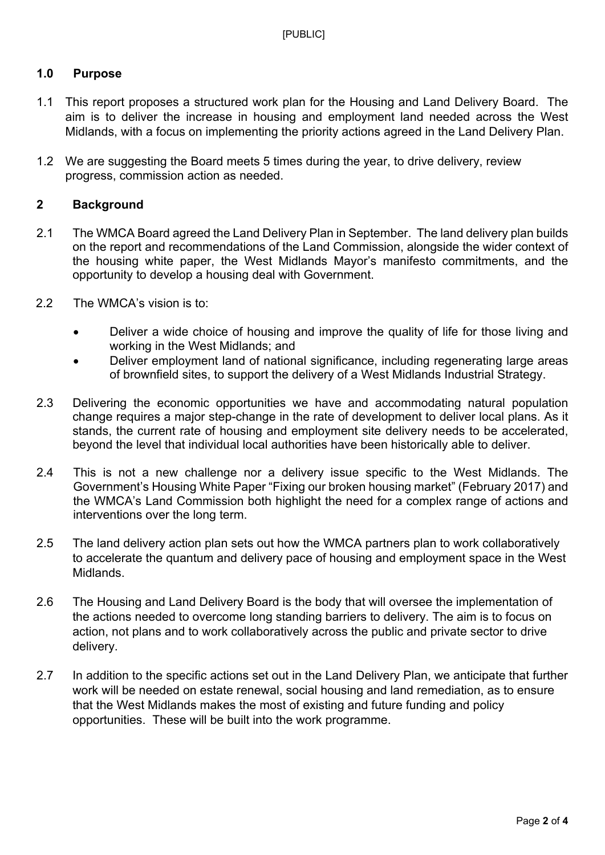## **1.0 Purpose**

- 1.1 This report proposes a structured work plan for the Housing and Land Delivery Board. The aim is to deliver the increase in housing and employment land needed across the West Midlands, with a focus on implementing the priority actions agreed in the Land Delivery Plan.
- 1.2 We are suggesting the Board meets 5 times during the year, to drive delivery, review progress, commission action as needed.

## **2 Background**

- 2.1 The WMCA Board agreed the Land Delivery Plan in September. The land delivery plan builds on the report and recommendations of the Land Commission, alongside the wider context of the housing white paper, the West Midlands Mayor's manifesto commitments, and the opportunity to develop a housing deal with Government.
- 2.2 The WMCA's vision is to:
	- Deliver a wide choice of housing and improve the quality of life for those living and working in the West Midlands; and
	- Deliver employment land of national significance, including regenerating large areas of brownfield sites, to support the delivery of a West Midlands Industrial Strategy.
- 2.3 Delivering the economic opportunities we have and accommodating natural population change requires a major step-change in the rate of development to deliver local plans. As it stands, the current rate of housing and employment site delivery needs to be accelerated, beyond the level that individual local authorities have been historically able to deliver.
- 2.4 This is not a new challenge nor a delivery issue specific to the West Midlands. The Government's Housing White Paper "Fixing our broken housing market" (February 2017) and the WMCA's Land Commission both highlight the need for a complex range of actions and interventions over the long term.
- 2.5 The land delivery action plan sets out how the WMCA partners plan to work collaboratively to accelerate the quantum and delivery pace of housing and employment space in the West Midlands.
- 2.6 The Housing and Land Delivery Board is the body that will oversee the implementation of the actions needed to overcome long standing barriers to delivery. The aim is to focus on action, not plans and to work collaboratively across the public and private sector to drive delivery.
- 2.7 In addition to the specific actions set out in the Land Delivery Plan, we anticipate that further work will be needed on estate renewal, social housing and land remediation, as to ensure that the West Midlands makes the most of existing and future funding and policy opportunities. These will be built into the work programme.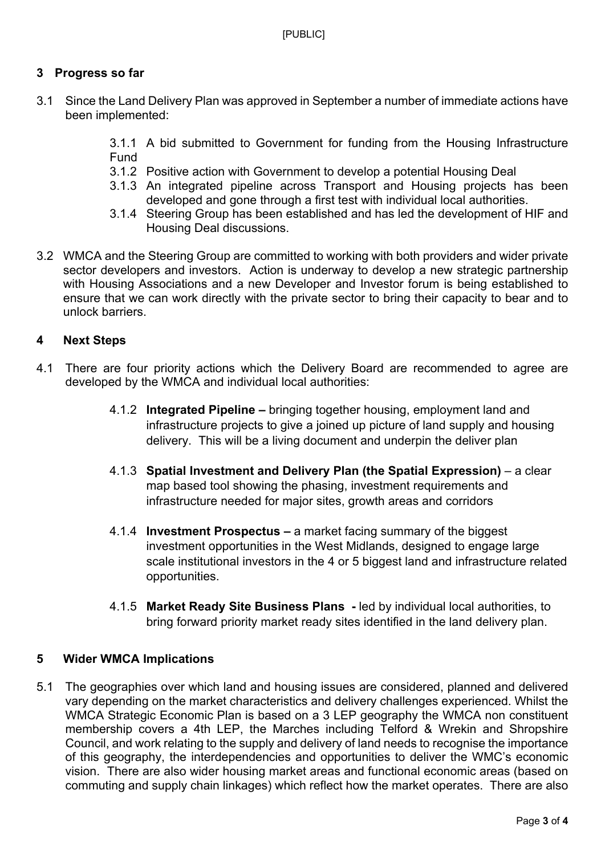## **3 Progress so far**

- 3.1 Since the Land Delivery Plan was approved in September a number of immediate actions have been implemented:
	- 3.1.1 A bid submitted to Government for funding from the Housing Infrastructure Fund
	- 3.1.2 Positive action with Government to develop a potential Housing Deal
	- 3.1.3 An integrated pipeline across Transport and Housing projects has been developed and gone through a first test with individual local authorities.
	- 3.1.4 Steering Group has been established and has led the development of HIF and Housing Deal discussions.
- 3.2 WMCA and the Steering Group are committed to working with both providers and wider private sector developers and investors. Action is underway to develop a new strategic partnership with Housing Associations and a new Developer and Investor forum is being established to ensure that we can work directly with the private sector to bring their capacity to bear and to unlock barriers.

## **4 Next Steps**

- 4.1 There are four priority actions which the Delivery Board are recommended to agree are developed by the WMCA and individual local authorities:
	- 4.1.2 **Integrated Pipeline –** bringing together housing, employment land and infrastructure projects to give a joined up picture of land supply and housing delivery. This will be a living document and underpin the deliver plan
	- 4.1.3 **Spatial Investment and Delivery Plan (the Spatial Expression)** a clear map based tool showing the phasing, investment requirements and infrastructure needed for major sites, growth areas and corridors
	- 4.1.4 **Investment Prospectus –** a market facing summary of the biggest investment opportunities in the West Midlands, designed to engage large scale institutional investors in the 4 or 5 biggest land and infrastructure related opportunities.
	- 4.1.5 **Market Ready Site Business Plans -** led by individual local authorities, to bring forward priority market ready sites identified in the land delivery plan.

## **5 Wider WMCA Implications**

5.1 The geographies over which land and housing issues are considered, planned and delivered vary depending on the market characteristics and delivery challenges experienced. Whilst the WMCA Strategic Economic Plan is based on a 3 LEP geography the WMCA non constituent membership covers a 4th LEP, the Marches including Telford & Wrekin and Shropshire Council, and work relating to the supply and delivery of land needs to recognise the importance of this geography, the interdependencies and opportunities to deliver the WMC's economic vision. There are also wider housing market areas and functional economic areas (based on commuting and supply chain linkages) which reflect how the market operates. There are also